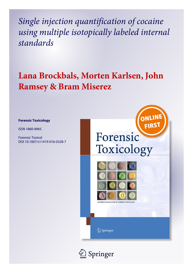*Single injection quantification of cocaine using multiple isotopically labeled internal standards*

# **Lana Brockbals, Morten Karlsen, John Ramsey & Bram Miserez**

#### **Forensic Toxicology**

ISSN 1860-8965

Forensic Toxicol DOI 10.1007/s11419-016-0328-7



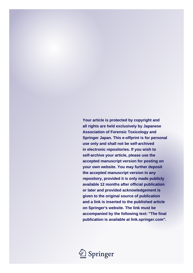**Your article is protected by copyright and all rights are held exclusively by Japanese Association of Forensic Toxicology and Springer Japan. This e-offprint is for personal use only and shall not be self-archived in electronic repositories. If you wish to self-archive your article, please use the accepted manuscript version for posting on your own website. You may further deposit the accepted manuscript version in any repository, provided it is only made publicly available 12 months after official publication or later and provided acknowledgement is given to the original source of publication and a link is inserted to the published article on Springer's website. The link must be accompanied by the following text: "The final publication is available at link.springer.com".**

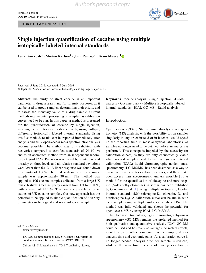SHORT COMMUNICATION



### Single injection quantification of cocaine using multiple isotopically labeled internal standards

Lana Brockbals<sup>1</sup> • Morten Karlsen<sup>2</sup> • John Ramsey<sup>1</sup> • Bram Miserez<sup>1</sup>

Received: 5 June 2016 / Accepted: 5 July 2016 - Japanese Association of Forensic Toxicology and Springer Japan 2016

Abstract The purity of street cocaine is an important parameter in drug research and for forensic purposes, as it can be used to group samples, determining their origin, and to assess the monetary value of a drug sample. Current methods require batch processing of samples, as calibration curves need to be run. In this paper, a method is presented for the quantification of cocaine by single injection, avoiding the need for a calibration curve by using multiple, differently isotopically labeled internal standards. Using this fast method, results can be reported immediately after analysis and fully open-access mass spectrometric analysis becomes possible. The method was fully validated, with recoveries compared to certified standards of 99–101 % and to an accredited method from an independent laboratory of 86–117 %. Precision was tested both interday and intraday on three levels and all relative standard deviations were lower than 6.1 %. A linear response was found down to a purity of 1.3 %. The total analysis time for a single sample was approximately 30 min. The method was applied to 106 cocaine samples collected from a large UK music festival. Cocaine purity ranged from 1.3 to 78.8 %, with a mean of 43.1 %. This was comparable to other studies of UK cocaine samples. Our new approach has the potential to be applied to simple quantification of a variety of analytes in biological and non-biological samples.

& Bram Miserez bmiserez@sgul.ac.uk

<sup>2</sup> Chiron AS, Stiklestadveien 1, 7041 Trondheim, Norway

Keywords Cocaine analysis - Single injection GC–MS analysis - Cocaine purity - Multiple isotopically labeled internal standards - ICAL-GC–MS - Rapid analysis

#### Introduction

Open access (STAT, Statim; immediately) mass spectrometry (MS) analysis, with the possibility to run samples singularly in any order instead of in batches, would speed up the reporting time in most analytical laboratories, as samples no longer need to be batched before an analysis is performed. This concept is impeded by the necessity for calibration curves, as they are only economically viable when several samples need to be run. Isotopic internal calibration (ICAL) liquid chromatography–tandem mass spectrometry (LC–MS/MS) has been described as a way to circumvent the need for calibration curves, and thus, make open access mass spectrometric analysis possible [[1\]](#page-9-0). A method for the quantification of clozapine and norclozapine (N-desmethylclozapine) in serum has been published by Couchman et al. [[1\]](#page-9-0), using multiple, isotopically labeled internal standards (ISs) (clozapine- $D_4$ , clozapine- $D_8$  and norclozapine- $D_8$ ). A calibration curve can be run in with each sample using multiple isotopically labeled ISs. The method was fully validated and shows the potential for open access MS by using ICAL-LC–MS/MS.

In forensic toxicology, gas chromatography–mass spectrometry (GC–MS) remains the preferred method for both qualitative and quantitative analysis. ICAL-GC–MS could be used and has many advantages: no matrix effects, identification of other compounds in the sample, shorter analysis time and economic gains. As a calibration curve is no longer needed, analysis time per sample is reduced, while at the same time, the cost of making a calibration

<sup>1</sup> TICTAC Communications Ltd, St George's University of London, Cranmer Terrace, London SW17 0RE, UK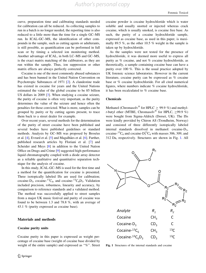<span id="page-3-0"></span>curve, preparation time and calibrating standards needed for calibration can all be reduced. As collecting samples to run in a batch is no longer needed, the reporting time is also reduced to a little more than the time for a single GC–MS run. In ICAL-GC–MS, the identification of other compounds in the sample, such as cutting agents or adulterants, is still possible, as quantification can be performed in full scan or by timing a selected ion monitoring method. Another advantage of ICAL, in both LC–MS and GC–MS, is the exact matrix matching of the calibrators, as they are run within the sample. Thus, ion suppression or other matrix effects are always perfectly corrected.

Cocaine is one of the most commonly abused substances and has been banned in the United Nation Convention on Psychotropic Substances of 1971 [[2\]](#page-9-0). A clandestine trade has existed in cocaine for years and the United Nations estimated the value of the global cocaine to be 85 billion US dollars in 2009 [\[3](#page-9-0)]. When studying a cocaine seizure, the purity of cocaine is often very important, as the purity determines the value of the seizure and hence often the penalties for those convicted. What is more, samples can be grouped by purity or by cutting agents present, to trace them back to a street dealer for example.

Over recent years, several methods for the determination of the purity of street cocaine have been published and several bodies have published guidelines or standard methods. Analysis by GC–MS was proposed by Broséus et al.  $[4]$  $[4]$ , Evrard et al.  $[5]$  $[5]$  and Magalhães et al.  $[6]$  $[6]$ . Further, published research articles by Floriani et al. [[7\]](#page-10-0) and Scheider and Meys [\[8](#page-10-0)] in addition to the United Nation Office on Drugs and Crime [[9\]](#page-10-0) suggested high-performance liquid chromatography coupled with a diode array detector as a reliable qualitative and quantitative separation technique for the analysis of cocaine.

In this study, ICAL-GC–MS is used for the first time and a method for the quantification for cocaine is presented. Three isotopically labeled ISs are used for calibration; cocaine-D<sub>3</sub>, cocaine-<sup>13</sup>C<sub>6</sub>, and cocaine-<sup>13</sup>C<sub>6</sub>D<sub>3</sub>. Validation included precision, robustness, linearity and accuracy, by comparison to reference standards and a validated method. The method was successfully applied to street samples from a major UK music festival and purity of cocaine was found to be between 1.3 and 78.8 %, with an average of 43.1 % (purity expressed as cocaine base).

#### Materials and methods

#### Cocaine purity units

Cocaine purity in this paper is expressed as weight percentage of cocaine base (weight of cocaine base divided by weight of the entire sample) and expressed as "%". Street cocaine powder is cocaine hydrochloride which is water soluble and usually snorted or injected whereas crack cocaine, which is usually smoked, is cocaine free base. As such, the purity of a cocaine hydrochloride sample, expressed as cocaine base, as used in this paper, is maximally 89.5 %, as the other 10.5 % weight in the sample is taken up by hydrochloride.

As the samples were not tested for the presence of hydrochloride, it was deemed more useful to express all purity as % cocaine, and not % cocaine hydrochloride, as theoretically, a sample containing cocaine base can have a purity over 100 %. This is the usual practice adopted by UK forensic science laboratories. However in the current literature, cocaine purity can be expressed as % cocaine base or % cocaine hydrochloride. For all cited numerical figures, where numbers indicate % cocaine hydrochloride, it has been recalculated to % cocaine base.

#### **Chemicals**

Methanol (Chromasolv<sup>®</sup> for HPLC  $\geq$  99.9 %) and methylt-butyl ether (MTBE, Chromasoly<sup>®</sup> for HPLC, >99.9 %) were bought from Sigma-Aldrich (Dorset, UK). The ISs were kindly provided by Chiron AS (Trondheim, Norway) and consisted of three differently isotopically labeled internal standards dissolved in methanol: cocaine- $D_3$ , cocaine- ${}^{13}C_6$  and cocaine- $D_3^{13}C_6$  with masses 306, 309, and 312 Da, respectively. Structures are shown in Fig. 1. All



Fig. 1 Structures of the internal standards and cocaine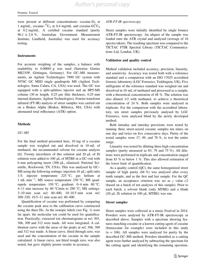were present at different concentrations: cocaine- $D_3$  at 1 mg/mL, cocaine- $^{13}C_6$  at 0.4 mg/mL and cocaine- $D_3^{13}C_6$ at 0.2 mg/mL. A certified cocaine standard (purity  $96.1 \pm 2.6$  %, Australian Government Measurement Institute, Lindfield, Australia) was used for accuracy testing.

#### **Instruments**

For accurate weighing of the samples, a balance with readability to 0.00001 g was used (Sartorius Genius ME235P, Göttingen, Germany). For GC-MS measurements, an Agilent Technologies 7890 GC system with 5976C GC MSD single quadrupole MS (Agilent Technologies, Santa Calara, CA, USA) was used. The GC was equipped with a split-splitless injector and an HP5-MS column (30 m length,  $0.25 \mu m$  film thickness,  $0.25 \mu m$ internal diameter, Agilent Technologies). Fourier transform infrared (FT-IR) analysis of street samples was carried out on a Bruker Alpha (Bruker, Billerica, MA, USA) with attenuated total reflectance (ATR) option.

#### Methods

#### GC–MS

For the final method presented here, 10 mg of a cocaine sample was weighed out and dissolved in 10 mL of methanol, the recommended solvent for cocaine analysis [\[6](#page-9-0)]. Twenty microliters of this solution and 20  $\mu$ L of IS solution were added to 100  $\mu$ L of MTBE in a GC-vial with  $6 \text{ mm}$  polyspring insert (300  $\mu$ L, silanized; National Scientific, Rockwood, TN, USA). This was analysed by GC– MS using the following settings: injection 10  $\mu$ L; split ratio 1:5; injector temperature 225 °C; gas helium at 1 mL min<sup>-1</sup>; MS source temperature 230 °C; MS quadrupole temperature 150 °C; gradient: 0–4 min 80 °C, 4–11 min increase by 40 °C/min to 290 °C; MS settings: 3–10 min scan  $m/z$  40–400, 10–10.5 min scan  $m/z$ 300–320, 10.5–11 min scan m/z 40–400.

Quantification of cocaine was performed by comparing the cocaine peak area to the calibration curve constructed using the three ISs. As the isotopic labels (see Fig. [1\)](#page-3-0) were far apart, the molecular ion could be used for quantification. Practically, extracted ion chromatograms at m/z 303, 306, 309 and 312 were made. All were integrated. A calibration curve with the areas of the peaks at  $m/z$  306, 309 and 312 was made. A linear curve, fitted through zero, was used and the concentration of the cocaine in the sample calculated. A linear curve, not fitted trough zero, was also tested, but gave slightly poorer results in accuracy.

#### ATR-FT-IR spectroscopy

Street samples were initially identified by single bounce ATR-FT-IR spectroscopy. An aliquot of the sample was loaded onto the ATR crystal and analysed (average of 16 spectra taken). The resulting spectrum was compared to the TICTAC FTIR Spectral Library (TICTAC Communications Ltd, London, UK).

#### Validation and quality control

Method validation included accuracy, precision, linearity, and sensitivity. Accuracy was tested both with a reference standard and a comparison with an ISO 17025 accredited forensic laboratory (LGC Forensics, Teddington, UK). Five milligrams of the reference standard was weighed out and dissolved in 10 mL of methanol and processed as a sample, with a theoretical concentration of 48 %. The solution was also diluted 1/2 with methanol, to achieve a theoretical concentration of 24 %. Both samples were analysed in triplicate. For the comparison with the accredited laboratory, ten street samples previously analysed by LGC Forensics, were analysed blind by the newly developed method.

Both intraday and interday precisions were tested by running three street-seized cocaine samples ten times on one day and twice on five consecutive days. Purity of the tested samples were 17, 49, and 78 %, to test the entire range.

Linearity was tested by diluting three high concentration samples (purity measured as 83, 79 and 75 %). All dilutions were performed in triplicate and concentration ranged from 83 % to below 1 %. This also allowed estimation of the lower limit of quantification.

As a quality control (QC), the same homogenized street sample of high purity (68 %) was analysed after every tenth sample, and as the first and last sample. For the QC sample, an acceptance criterion was set as  $z$  value  $\lt 2$ (based on a batch of ten analyses of this sample). Prior to each batch, a solvent blank (only MTBE) and a blank (20  $\mu$ L IS solution in 100  $\mu$ L MTBE) was run.

#### Street samples

Street samples were collected at a music Festival in 2014. Powders were analysed by ATR-FT-IR spectroscopy as described above. Samples with a spectrum showing features matching cocaine or a known cutting agent of cocaine (benzocaine for example) were included in this study  $(n = 106)$ . All samples were analysed for purity by the described GC–MS method. Powders identified as a cutting agent were further analysed by subtracting the spectrum for the cutting agent and identifying the remaining spectrum.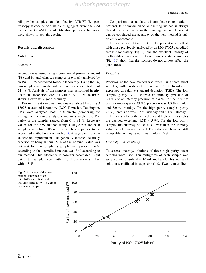All powder samples not identified by ATR-FT-IR spectroscopy as cocaine or a main cutting agent, were analysed by routine GC–MS for identification purposes but none were shown to contain cocaine.

#### Results and discussion

#### Validation

#### Accuracy

Accuracy was tested using a commercial primary standard (PS) and by analysing ten samples previously analysed by an ISO 17025 accredited forensic laboratory. Using the PS, two samples were made, with a theoretical concentration of 24–48 %. Analysis of the samples was performed in triplicate and recoveries were all within 99–101 % accurate, showing extremely good accuracy.

Ten real street samples, previously analysed by an ISO 17025 accredited laboratory (LGC Forensics, Teddington, UK), were analysed, both in triplicate (comparing the average of the three analyses) and in a single run. The purity of the samples ranged from 6 to 82 %. Recovery values for the new method using a single run for each sample were between 86 and 117 %. The comparison to the accredited method is shown in Fig. 2. Analysis in triplicate showed no improvement. The generally accepted accuracy criterion of being within 15 % of the nominal value was not met for one sample; a sample with purity of 6 % according to the accredited method was 7 % according to our method. This difference is however acceptable. Eight out of ten samples were within 10 % deviation and five within 3 %.

Comparison to a standard is incomplete (as no matrix is present), but comparison to an existing method is always flawed by inaccuracies in the existing method. Hence, it can be concluded the accuracy of the new method is sufficiently acceptable.

The agreement of the results by the present new method with those previously analyzed by an ISO 17025 accredited forensic laboratory (Fig. 2), and the excellent linearity of an IS calibration curve of different kinds of stable isotopes (Fig. [3](#page-6-0)d) show that the isotopes do not almost affect the peak areas.

#### Precision

Precision of the new method was tested using three street samples, with purities of 17, 49 and 78 %. Results are expressed as relative standard deviation (RSD). The low sample (purity 17 %) showed an intraday precision of 6.1 % and an interday precision of 5.4 %. For the medium purity sample (purity 49 %), precision was 3.0 % intraday and 5.0 % interday. For the high purity sample (purity 78 %), precision was 3.3 % intraday and 4.1 % interday.

The values for both the medium and high purity samples are deemed excellent (RSD  $\leq$  5 %). For the low purity sample, the interday value was lower than the intraday value, which was unexpected. The values are however still acceptable, as they remain well below 10 %.

#### Linearity and sensitivity

To assess linearity, dilutions of three high purity street samples were used. Ten milligrams of each sample was weighed and dissolved in 10 mL methanol. This methanol solution was diluted in steps six of 1/2. Twenty microliters

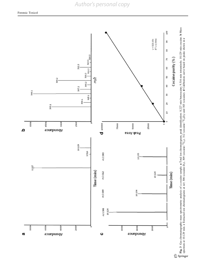# *Author's personal copy*

<span id="page-6-0"></span>

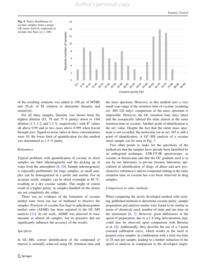## *Author's personal copy*

<span id="page-7-0"></span>



of the resulting solutions was added to  $100 \mu L$  of MTBE and 20 µL of IS solution to determine linearity and sensitivity.

For all three samples, linearity was shown from the highest dilution (83, 79 and 75  $\%$  purity) down to 1/64 dilution (1.3, 1.2, and 1.2 %, respectively), with  $R^2$  values all above 0.99 and in two cases above 0.999 when forced through zero. Signal-to-noise ratios at these concentrations were 10; the lower limit of quantification for this method was determined as 1.5 % purity.

#### Robustness

Typical problems with quantification of cocaine in street samples are their inhomogeneity and the picking up of water from the atmosphere  $[4, 10]$  $[4, 10]$  $[4, 10]$  $[4, 10]$  $[4, 10]$ . Sample inhomogeneity is especially problematic for large samples, as small samples can be homogenized in a pestle and mortar. For an accurate result, samples can be dried overnight at 80  $^{\circ}C$ , resulting in a dry cocaine sample. This might of course result in a higher purity, as samples handled on the streets are not completely dry either.

There was no evidence of the formation of cocaine methyl ester from our use of methanol to dissolve the samples. Pyrolysis of cocaine free base to anhydroecgonine methyl ester (AEME) has been reported in the GC–MS analysis [[11\]](#page-10-0). In our work, AEME was detected in trace amounts in almost all samples, but its presence did not significantly influence the accuracy of the results.

#### Specificity

In GC–MS, correct identification of the compound of interest is normally achieved using GC retention time and the mass spectrum. However, as this method uses a very small scan range at the retention time of cocaine (scanning  $m/z$  300–320 only), comparison of the mass spectrum is impossible. However, the GC retention time stays intact and the isotopically labeled ISs elute almost at the same retention time as cocaine. Another point of identification is the  $m/z$  value. Despite the fact that the entire mass spectrum is not recorded, the molecular ion at  $m/z$  303 is still a point of identification. A GC–MS analysis of a cocaine street sample can be seen in Fig. [3](#page-6-0).

Two other points to make for the specificity of the method are that the samples have already been identified by an orthogonal technique, ATR-FT-IR spectroscopy, as cocaine or benzocaine and that the GC gradient used is in use by our laboratory (a private forensic laboratory specialized in identification of drugs of abuse and new psychoactive substances) and no compound eluting at the same retention time as cocaine has ever been observed in drug samples.

#### Comparison to other methods

When comparing the newly developed method with existing, published methods to determine cocaine purity, sample preparation and analysis modes were found to be similar in terms of chemicals used, number of steps and run time on the instrument [[6,](#page-9-0) [7](#page-10-0)]. However, great differences in the speed of preparation, due to a 1 h long derivatisation step, could also be observed upon comparison with Broséus et al. [[4\]](#page-9-0). Additionally, they describe the use of a 7-point external calibration curve, which results in the need to prepare extra samples in combination with a total run time of 28 min per sample, leading to a further reduction of the speed of analysis in comparison to the developed single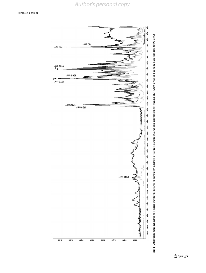*Author's personal copy*

<span id="page-8-0"></span>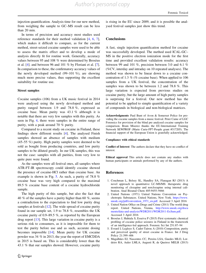<span id="page-9-0"></span>injection quantification. Analysis time for our new method, from weighing the sample to GC–MS result can be less than 20 min.

In terms of precision and accuracy most studies used reference standards for their method validation [4, 6, [7](#page-10-0)], which makes it difficult to compare, as for the current method, street-seized cocaine samples were used to be able to assess the matrix effect and to develop a mode of analysis directly fit for routine work. Generally, accuracy values between 95 and 108 % were determined by Brosèus et al. [4]. and between 96 and 101 % by Floriani et al. [\[7](#page-10-0)]. In comparison to these, the confirmatory accuracy values of the newly developed method (99–101 %), are showing much more precise values, thus supporting the excellent suitability for routine use.

#### Street samples

Cocaine samples (106) from a UK music festival in 2014 were analysed using the newly developed method and purity ranged between 1.9 and 78.8 %, expressed as cocaine base. Mean purity was 43.1 % although it is notable that there are very few samples with this purity. As seen in Fig. [4,](#page-7-0) there were samples in the entire range of purity, with a peak around 70 % purity.

Compared to a recent study on cocaine in Finland, these findings show different results [4]. The analysed Finish samples showed an absence of samples with medium (45–55 %) purity. High purity samples were deemed to be sold as bought from producing countries, and low purity samples to be diluted greatly. In our UK samples, this was not the case: samples with all purities, from very low to quite pure were found.

As the samples were all festival ones, all samples where ATR-FT-IR spectroscopy could identify cocaine showed the presence of cocaine-HCl rather than cocaine base. An example is shown in Fig. [5](#page-8-0). As such, a purity of 78.8 % cocaine base was very high compared to the maximal 89.5 % cocaine base content of a cocaine hydrochloride sample.

The high purity of this sample, but also the fact that 40 % of the samples have a purity higher than 60 %, seems a contradiction to the expectation to find low purity drug samples at festivals [[12\]](#page-10-0). The wide spread of cocaine purity found in our sample set, 1.9 to 78.8 %, resembles the UK cocaine purity of 0.9–89.5 %, as reported by the European drug report [[13](#page-10-0)]. This large variation in cocaine purity is a serious risk to consumers, as it is impossible for them to test the purity before use and as such, accurate dosing becomes impossible [\[14](#page-10-0)]. Mean purity for UK cocaine powder was 34 % in 2013, the year the report of EMCDDA in 2015 is based on. This is considerably lower than the 43.1 % that our samples showed. However, cocaine purity is rising in the EU since 2009, and it is possible the analysed festival samples just show this trend.

#### **Conclusions**

A fast, single injection quantification method for cocaine was successfully developed. The method used ICAL-GC– MS in the positive electron ionization mode for the first time and provided excellent validation results: accuracy between 99 and 101 %, precision between 3.0 and 6.1 % (%CV, interday and intraday on 10 repeated analyses). The method was shown to be linear down to a cocaine concentration of 1.3 % (% cocaine base). When applied to 106 samples from a UK festival, the concentration of the samples was shown to be between 1.2 and 78.8 %. This large variation is expected from previous studies on cocaine purity, but the large amount of high purity samples is surprising for a festival. Our new method has the potential to be applied to simple quantification of a variety of compounds in biological and non-biological matrices.

Acknowledgments Paul Bunt of Avon & Somerset Police for providing the cocaine samples from a music festival. Peter Caine of LGC Forensics for provision of the blind pre analysed cocaine samples for comparison. Bram Miserez thanks the EU-International Training Network SEWPROF (Marie Curie-FP7-People grant #317205). The financial support of the European Union is gratefully acknowledged.

#### Compliance with ethical standards

Conflict of Interest The authors declare that they have no conflict of interest.

Ethical approval This article does not contain any studies with human participants or animals performed by any of the authors.

#### References

- 1. Couchman L, Belsey SL, Handley SA, Flanagan RJ (2013) A novel approach to quantitative LC-MS/MS: therapeutic drug monitoring of clozapine and norclozapine using internal calibration. Anal Bioanal Chem 405:9455–9466
- 2. United Nations (1971) United Nations Convention on Psychotropic Substances. United Nations, New York. [https://www.](https://www.unodc.org/pdf/convention_1971_en.pdf) [unodc.org/pdf/convention\\_1971\\_en.pdf.](https://www.unodc.org/pdf/convention_1971_en.pdf) Accessed 3 April 2016
- 3. United Nation Office on Drugs and Crime (2011) The world drug report. United Nations, Vienna, [http://www.unodc.org/docu](http://www.unodc.org/documents/data-and-analysis/WDR2011/WDR2011-ExSum.pdf) [ments/data-and-analysis/WDR2011/WDR2011-ExSum.pdf](http://www.unodc.org/documents/data-and-analysis/WDR2011/WDR2011-ExSum.pdf). Accessed 3 April 2016
- 4. Broséus J, Huhtala S, Esseiva P (2015) First systematic chemical profiling of cocaine police seizures in Finland in the framework of an intelligence-led approach. Forensic Sci Int 251:87–94
- 5. Evrard I, Legleye S, Cadet-Taïrou A (2010) Composition, purity and perceived quality of street cocaine in France. Int J Drug Policy 21:399–406
- 6. Magalhães EJ, Nascentes CC, Pereira LSA, Guedes MLO, Lordeiro RA, Auler LMLA, Augusti R, de Queiroz MELR (2013)